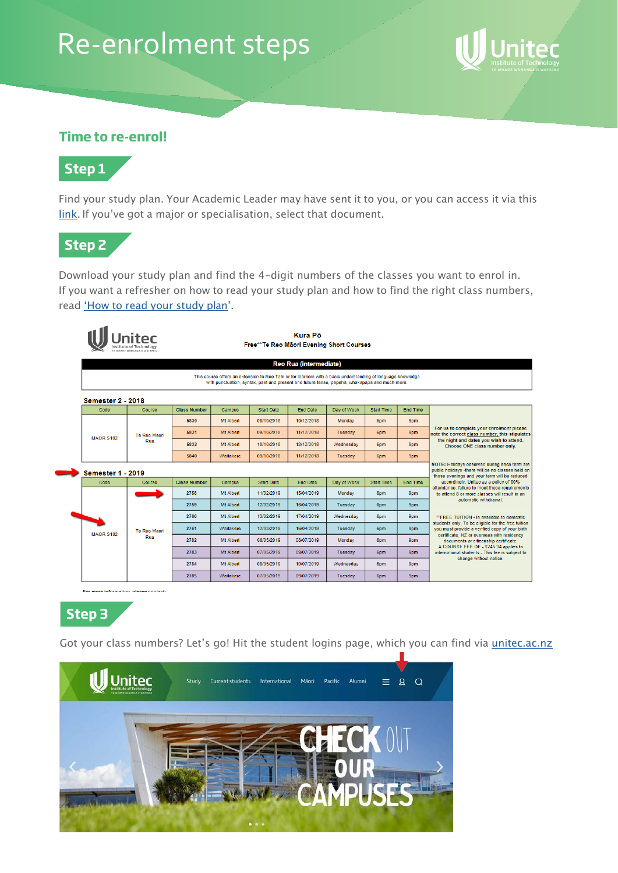# Re-enrolment steps



## **Time to re-enrol!**



Find your study plan. Your Academic Leader may have sent it to you, or you can access it via this link. If you've got a major or specialisation, select that document.



Download your study plan and find the 4-digit numbers of the classes you want to enrol in. If you want a refresher on how to read your study plan and how to find the right class numbers, read 'How to read your study plan'.

|                          |                            |                     |                  | Free**Te Reo Māori Evening Short Courses                                                                                                                                                                      | <b>Kura Pö</b>                |                |                   |                 |                                                                                                                                                   |
|--------------------------|----------------------------|---------------------|------------------|---------------------------------------------------------------------------------------------------------------------------------------------------------------------------------------------------------------|-------------------------------|----------------|-------------------|-----------------|---------------------------------------------------------------------------------------------------------------------------------------------------|
|                          |                            |                     |                  |                                                                                                                                                                                                               | <b>Reo Rua (intermediate)</b> |                |                   |                 |                                                                                                                                                   |
|                          |                            |                     |                  | This course offers an extension to Reo Tahi or for learners with a basic understanding of language knowledge<br>with punctuation, syntax, past and present and future tense, pepeha, whakapapa and much more. |                               |                |                   |                 |                                                                                                                                                   |
| <b>Semester 2 - 2018</b> |                            |                     |                  |                                                                                                                                                                                                               |                               |                |                   |                 |                                                                                                                                                   |
| Code                     | Course                     | <b>Class Number</b> | Campus           | <b>Start Date</b>                                                                                                                                                                                             | <b>End Date</b>               | Day of Week    | <b>Start Time</b> | <b>End Time</b> |                                                                                                                                                   |
|                          |                            | 5830                | Mt Albert        | 08/10/2018                                                                                                                                                                                                    | 10/12/2018                    | Monday         | 6pm               | 9pm             |                                                                                                                                                   |
|                          | <b>Te Reo Maori</b><br>Rua | 5831                | <b>Mt Albert</b> | 09/10/2018                                                                                                                                                                                                    | 11/12/2018                    | <b>Tuesday</b> | 6pm               | 9pm             | For us to complete your enrolment please<br>note the correct class number, this stipulates                                                        |
| <b>MAOR S102</b>         |                            | 5832                | Mt Albert        | 10/10/2018                                                                                                                                                                                                    | 12/12/2018                    | Wednesdav      | 6pm               | 9pm             | the night and dates you wish to attend.<br>Choose ONE class number only.                                                                          |
|                          |                            | 5840                | Waitakere        | 09/10/2018                                                                                                                                                                                                    | 11/12/2018                    | Tuesday        | 6pm               | 9pm             |                                                                                                                                                   |
| <b>Semester 1 - 2019</b> |                            |                     |                  |                                                                                                                                                                                                               |                               |                |                   |                 | NOTE: Holidays observed during each term are<br>public holidays -there will be no classes held on<br>those evenings and your term will be reduced |
| Code                     | Course                     | <b>Class Number</b> | Campus           | <b>Start Date</b>                                                                                                                                                                                             | <b>End Date</b>               | Day of Week    | <b>Start Time</b> | <b>End Time</b> | accordingly. United as a policy of 80%                                                                                                            |
|                          |                            | 2758                | Mt Albert        | 11/02/2019                                                                                                                                                                                                    | 15/04/2019                    | Monday         | 6pm               | 9pm             | attendance, failure to meet these requirements<br>to attend 8 or more classes will result in an                                                   |
|                          |                            | 2759                | Mt Albert        | 12/02/2019                                                                                                                                                                                                    | 16/04/2019                    | Tuesday        | 6pm               | 9pm             | automatic withdrawal.                                                                                                                             |
|                          |                            | 2760                | Mt Albert        | 13/02/2019                                                                                                                                                                                                    | 17/04/2019                    | Wednesday      | 6pm               | 9pm             | <b>**FREE TUITION - Is available to domestic</b>                                                                                                  |
|                          | <b>Te Reo Maori</b><br>Rua | 2761                | Waitakere        | 12/02/2019                                                                                                                                                                                                    | 16/04/2019                    | Tuesday        | 6pm               | 9pm             | students only. To be eligible for the free tuition<br>you must provide a verified copy of your birth                                              |
| <b>MAOR S102</b>         |                            | 2782                | Mt Albert        | 06/05/2019                                                                                                                                                                                                    | 08/07/2019                    | Monday         | 6pm               | 9pm             | certificate, NZ or overseas with residency<br>documents or citizenship certificate.                                                               |
|                          |                            | 2783                | Mt Albert        | 07/05/2019                                                                                                                                                                                                    | 09/07/2019                    | <b>Tuesday</b> | 6pm               | 9pm             | A COURSE FEE OF - \$245.34 applies to<br>international students - This fee is subject to                                                          |
|                          |                            | 2784                | Mt Albert        | 08/05/2019                                                                                                                                                                                                    | 10/07/2019                    | Wednesday      | 6pm               | 9pm             | change without notice.                                                                                                                            |
|                          |                            |                     |                  |                                                                                                                                                                                                               |                               |                |                   |                 |                                                                                                                                                   |



C

Got your class numbers? Let's go! Hit the student logins page, which you can find via *unitec.ac.nz* 

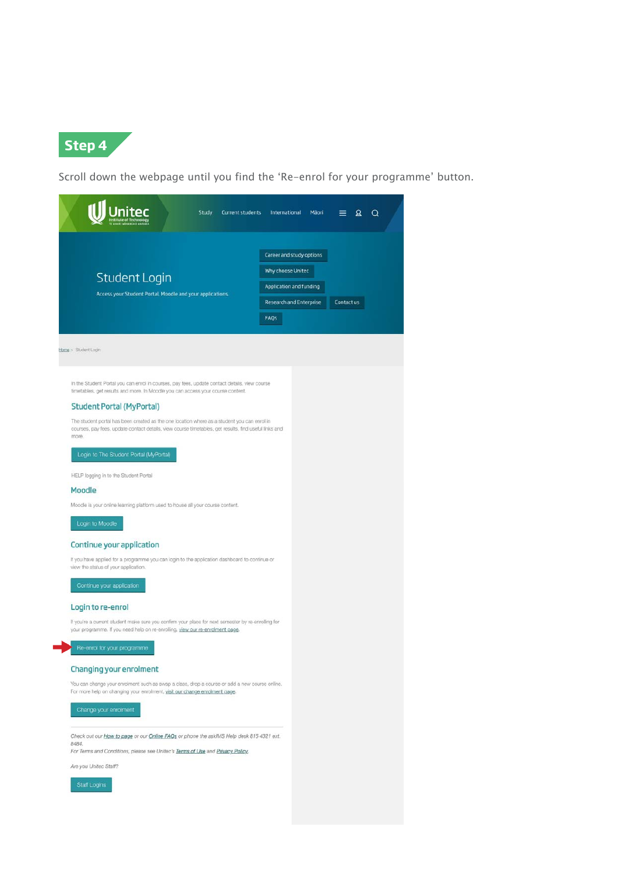

Scroll down the webpage until you find the 'Re-enrol for your programme' button.

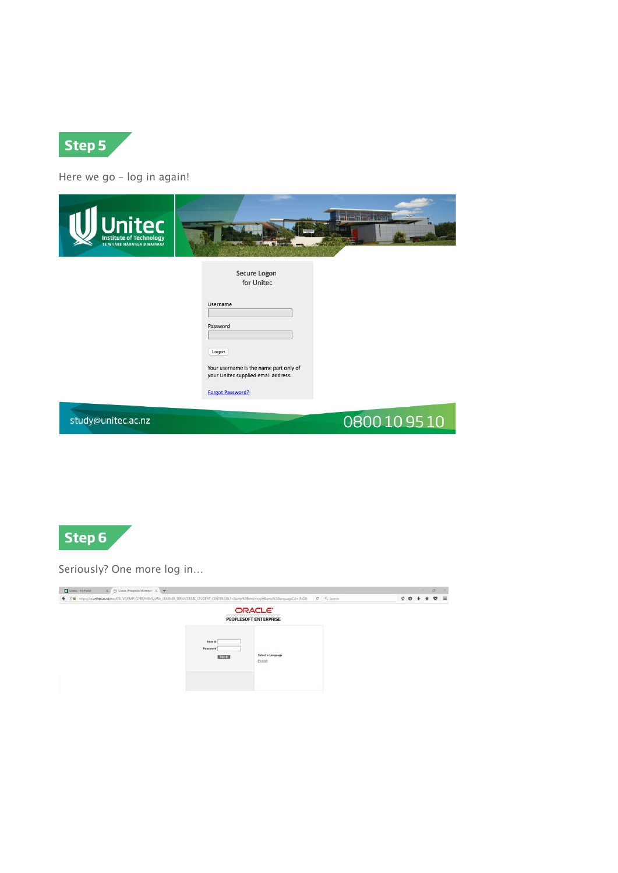

Here we go – log in again!

| United Technology  |                                                         |
|--------------------|---------------------------------------------------------|
|                    | Secure Logon<br>for Unitec                              |
|                    | Username                                                |
|                    | Password                                                |
|                    | Logon<br>Your username is the name part only of         |
|                    | your Unitec supplied email address.<br>Forgot Password? |
| study@unitec.ac.nz | 0800109510                                              |



#### Seriously? One more log in…

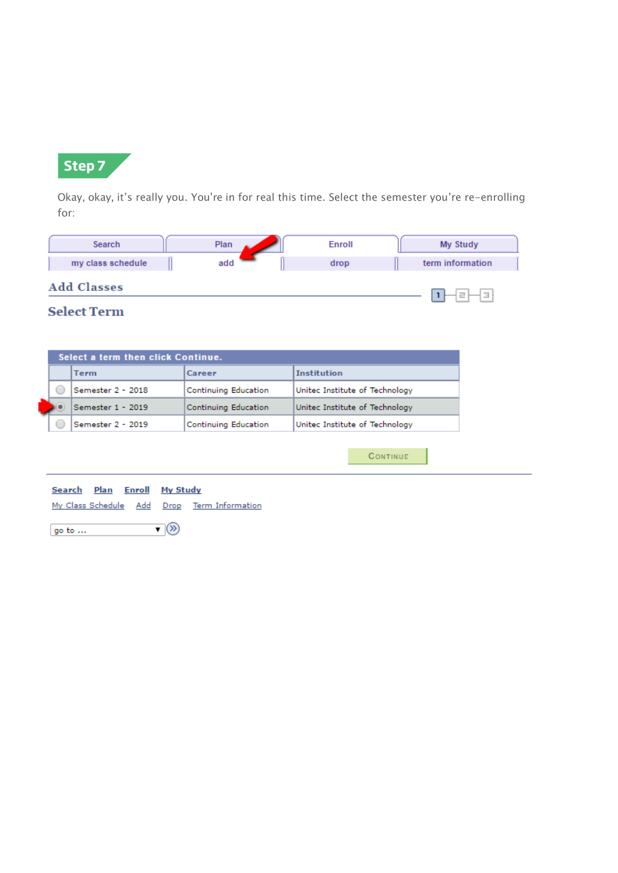

Okay, okay, it's really you. You're in for real this time. Select the semester you're re-enrolling for:

| Search             | Plan | Enroll | My Study                  |
|--------------------|------|--------|---------------------------|
| my class schedule  | add  | drop   | term information          |
| <b>Add Classes</b> |      |        | Ε<br>$\frac{1}{2}$<br>$=$ |

## **Select Term**

|  | Term              | Career               | <b>Institution</b>             |
|--|-------------------|----------------------|--------------------------------|
|  | Semester 2 - 2018 | Continuing Education | United Institute of Technology |
|  | Semester 1 - 2019 | Continuing Education | United Institute of Technology |
|  | Semester 2 - 2019 | Continuing Education | United Institute of Technology |

| <b>Search Plan Enroll My Study</b> |  |                                             |
|------------------------------------|--|---------------------------------------------|
|                                    |  | My Class Schedule Add Drop Term Information |

▼⊗ go to  $\ldots$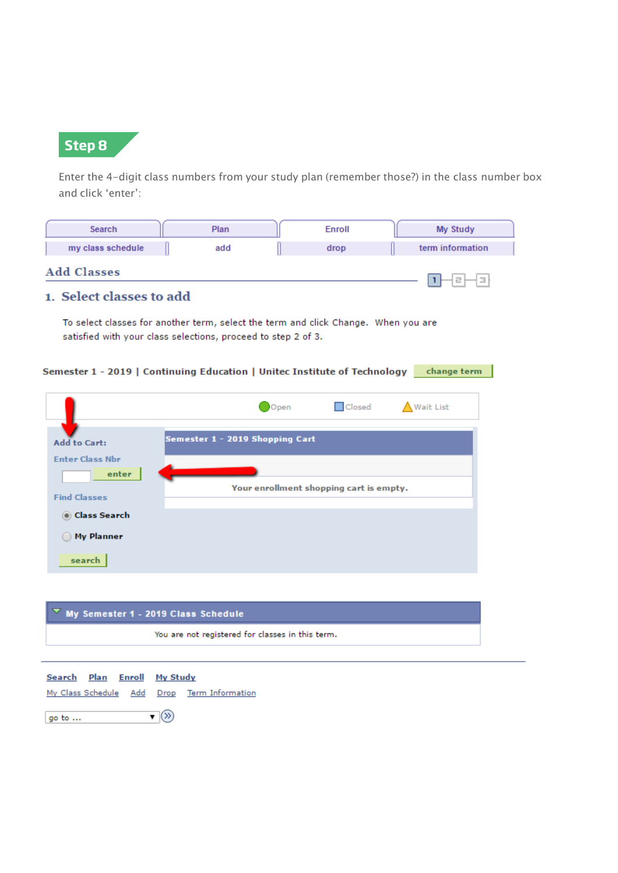

go to ...

Enter the 4-digit class numbers from your study plan (remember those?) in the class number box and click 'enter':

| Search                                                                    | Plan                                                                                                                                                | Enroll                                  | My Study         |
|---------------------------------------------------------------------------|-----------------------------------------------------------------------------------------------------------------------------------------------------|-----------------------------------------|------------------|
| my class schedule                                                         | add                                                                                                                                                 | drop                                    | term information |
| <b>Add Classes</b>                                                        |                                                                                                                                                     |                                         | ı                |
| 1. Select classes to add                                                  |                                                                                                                                                     |                                         |                  |
|                                                                           | To select classes for another term, select the term and click Change. When you are<br>satisfied with your class selections, proceed to step 2 of 3. |                                         |                  |
| Semester 1 - 2019   Continuing Education   Unitec Institute of Technology |                                                                                                                                                     |                                         | change term      |
|                                                                           |                                                                                                                                                     | <b>O</b> Closed<br>Open                 | <b>Wait List</b> |
| <b>Add to Cart:</b>                                                       | Semester 1 - 2019 Shopping Cart                                                                                                                     |                                         |                  |
| <b>Enter Class Nbr</b><br>enter                                           |                                                                                                                                                     |                                         |                  |
| <b>Find Classes</b>                                                       |                                                                                                                                                     | Your enrollment shopping cart is empty. |                  |
| ◉ Class Search                                                            |                                                                                                                                                     |                                         |                  |
| <b>My Planner</b>                                                         |                                                                                                                                                     |                                         |                  |
| search                                                                    |                                                                                                                                                     |                                         |                  |
|                                                                           |                                                                                                                                                     |                                         |                  |

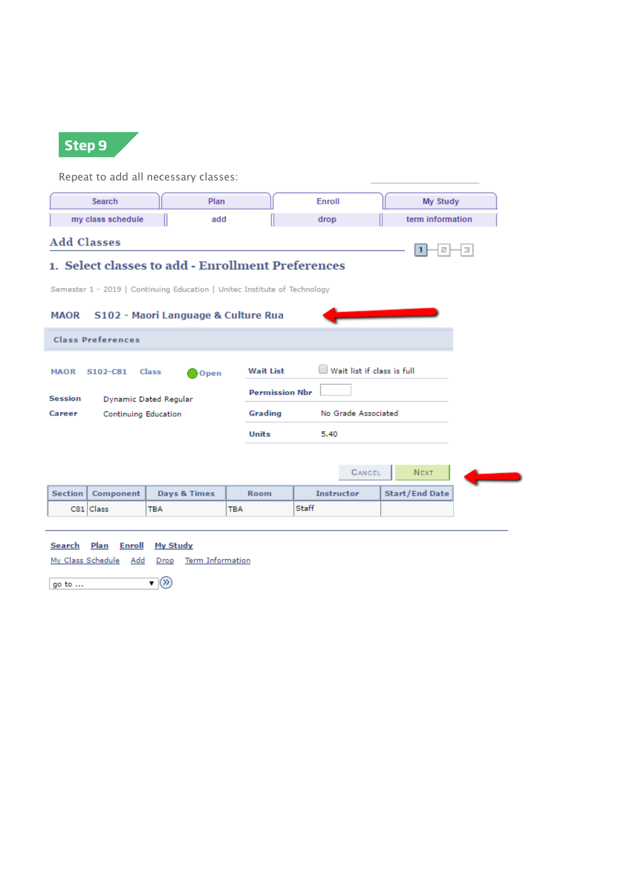

Repeat to add all necessary classes:

|                                                                           | <b>Search</b>            | Plan                                              |                       | Enroll                     | My Study              |  |  |
|---------------------------------------------------------------------------|--------------------------|---------------------------------------------------|-----------------------|----------------------------|-----------------------|--|--|
|                                                                           | my class schedule        | add                                               |                       | drop                       | term information      |  |  |
| <b>Add Classes</b>                                                        |                          |                                                   |                       |                            | Е<br>귿                |  |  |
|                                                                           |                          | 1. Select classes to add - Enrollment Preferences |                       |                            |                       |  |  |
| Semester 1 - 2019   Continuing Education   Unitec Institute of Technology |                          |                                                   |                       |                            |                       |  |  |
| MAOR  S102 - Maori Language & Culture Rua                                 |                          |                                                   |                       |                            |                       |  |  |
|                                                                           | <b>Class Preferences</b> |                                                   |                       |                            |                       |  |  |
| <b>MAOR</b>                                                               | S102-C81                 | Class<br>Open                                     | <b>Wait List</b>      | Wait list if class is full |                       |  |  |
| <b>Session</b>                                                            |                          | Dynamic Dated Regular                             | <b>Permission Nbr</b> |                            |                       |  |  |
| Career                                                                    | Continuing Education     |                                                   | Grading               | No Grade Associated        |                       |  |  |
|                                                                           |                          |                                                   | <b>Units</b>          | 5.40                       |                       |  |  |
|                                                                           |                          |                                                   |                       |                            |                       |  |  |
|                                                                           |                          |                                                   |                       | CANCEL                     | <b>NEXT</b>           |  |  |
| <b>Section</b>                                                            | Component                | <b>Days &amp; Times</b>                           | <b>Room</b>           | <b>Instructor</b>          | <b>Start/End Date</b> |  |  |
|                                                                           |                          |                                                   |                       |                            |                       |  |  |

#### Search Plan Enroll My Study

My Class Schedule Add Drop Term Information

 $\overline{\mathbf{v}}(\overline{\mathbf{v}})$ go to ...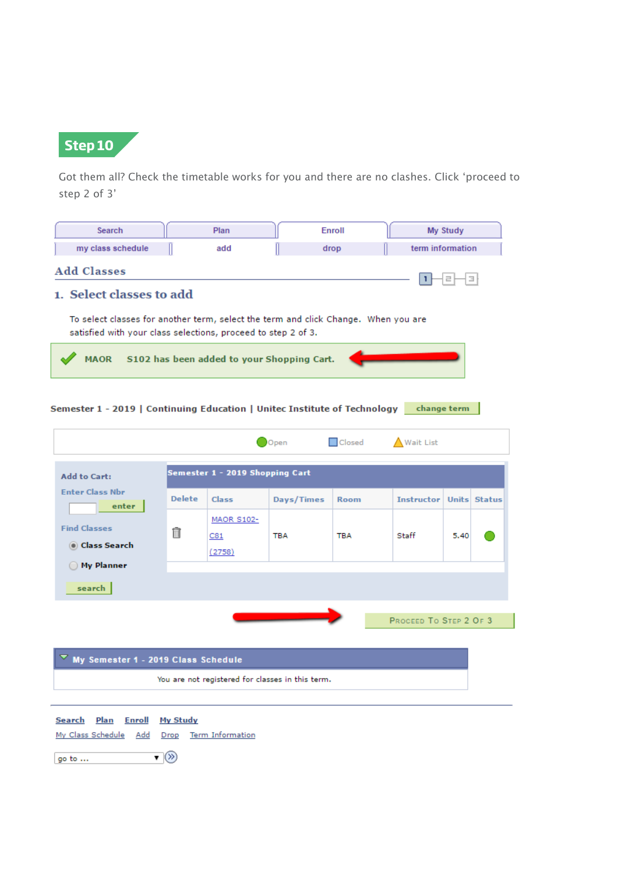

Got them all? Check the timetable works for you and there are no clashes. Click 'proceed to step 2 of 3'

| Search                                                                                                                                              |                                                  | Plan                               |                                                  | Enroll        |                                    | My Study |  |
|-----------------------------------------------------------------------------------------------------------------------------------------------------|--------------------------------------------------|------------------------------------|--------------------------------------------------|---------------|------------------------------------|----------|--|
| my class schedule                                                                                                                                   |                                                  | add                                | drop                                             |               | term information                   |          |  |
| <b>Add Classes</b><br>1. Select classes to add                                                                                                      |                                                  |                                    |                                                  |               | ı                                  | э        |  |
| To select classes for another term, select the term and click Change. When you are<br>satisfied with your class selections, proceed to step 2 of 3. |                                                  |                                    |                                                  |               |                                    |          |  |
| <b>MAOR</b>                                                                                                                                         |                                                  |                                    | S102 has been added to your Shopping Cart.       |               |                                    |          |  |
| Semester 1 - 2019   Continuing Education   Unitec Institute of Technology                                                                           |                                                  |                                    |                                                  |               | change term                        |          |  |
|                                                                                                                                                     |                                                  |                                    | Open                                             | <b>Closed</b> | Wait List                          |          |  |
| <b>Add to Cart:</b>                                                                                                                                 |                                                  | Semester 1 - 2019 Shopping Cart    |                                                  |               |                                    |          |  |
| <b>Enter Class Nbr</b><br>enter                                                                                                                     | <b>Delete</b>                                    | <b>Class</b>                       | Days/Times                                       | Room          | <b>Instructor   Units   Status</b> |          |  |
| <b>Find Classes</b><br>◉ Class Search                                                                                                               | m                                                | <b>MAOR S102-</b><br>C81<br>(2758) | TBA                                              | TBA           | Staff                              | 5.40     |  |
| ◯ My Planner<br>search                                                                                                                              |                                                  |                                    |                                                  |               |                                    |          |  |
|                                                                                                                                                     |                                                  |                                    |                                                  |               | PROCEED TO STEP 2 OF 3             |          |  |
| My Semester 1 - 2019 Class Schedule                                                                                                                 |                                                  |                                    |                                                  |               |                                    |          |  |
|                                                                                                                                                     |                                                  |                                    | You are not registered for classes in this term. |               |                                    |          |  |
| <b>Plan</b><br><b>Enroll</b><br>Search<br>My Class Schedule Add                                                                                     | <b>My Study</b><br>Drop                          | <b>Term Information</b>            |                                                  |               |                                    |          |  |
| go to                                                                                                                                               | $\overline{\mathbf{v}}(\overline{\mathfrak{D}})$ |                                    |                                                  |               |                                    |          |  |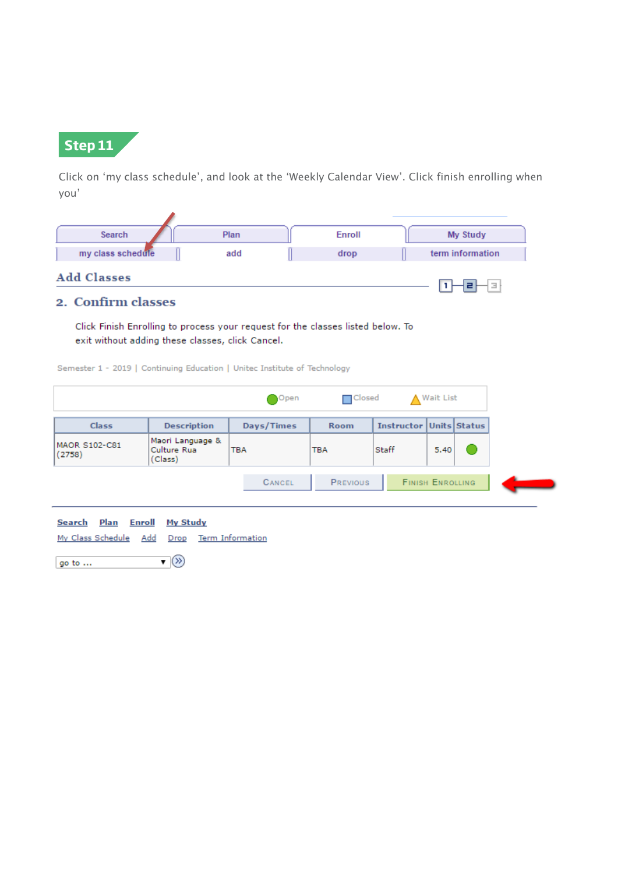

Click on 'my class schedule', and look at the 'Weekly Calendar View'. Click finish enrolling when you'

| Search             | Plan | Enroll | My Study         |
|--------------------|------|--------|------------------|
| my class schedule  | add  | drop   | term information |
| <b>Add Classes</b> |      |        | Е                |

### 2. Confirm classes

Click Finish Enrolling to process your request for the classes listed below. To exit without adding these classes, click Cancel.

Semester 1 - 2019 | Continuing Education | United Institute of Technology

 $\overline{\phantom{a}}$ 

|                         |                                            | Open          | $\Box$ Closed   |                                | ▲ Wait List             |  |
|-------------------------|--------------------------------------------|---------------|-----------------|--------------------------------|-------------------------|--|
| <b>Class</b>            | <b>Description</b>                         | Days/Times    | <b>Room</b>     | <b>Instructor Units Status</b> |                         |  |
| MAOR S102-C81<br>(2758) | Maori Language &<br>Culture Rua<br>(Class) | тва           | <b>TBA</b>      | Staff                          | 5.40                    |  |
|                         |                                            | <b>CANCEL</b> | <b>PREVIOUS</b> |                                | <b>FINISH ENROLLING</b> |  |



 $\overline{\mathbf{v}}(\overline{\mathbf{v}})$ go to  $\ldots$